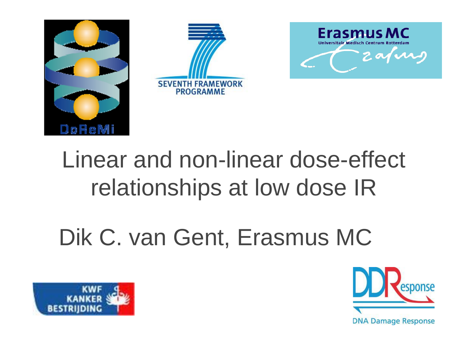

# Linear and non-linear dose-effect relationships at low dose IR

# Dik C. van Gent, Erasmus MC



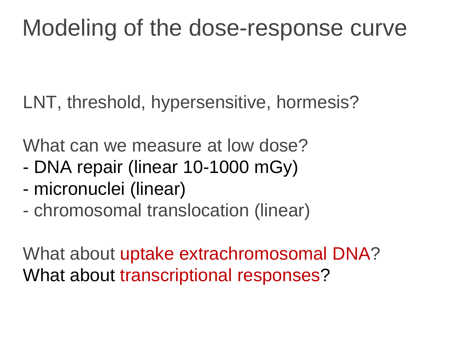### Modeling of the dose-response curve

LNT, threshold, hypersensitive, hormesis?

What can we measure at low dose?

- DNA repair (linear 10-1000 mGy)
- micronuclei (linear)
- chromosomal translocation (linear)

What about uptake extrachromosomal DNA? What about transcriptional responses?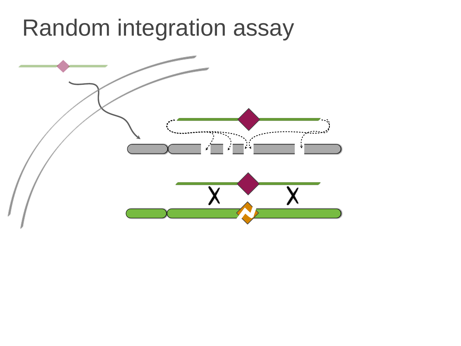### Random integration assay

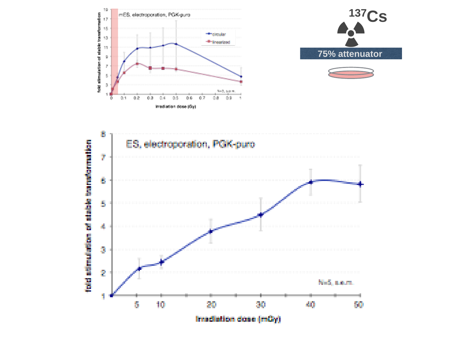





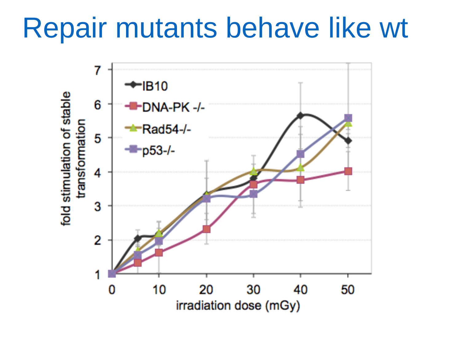# Repair mutants behave like wt

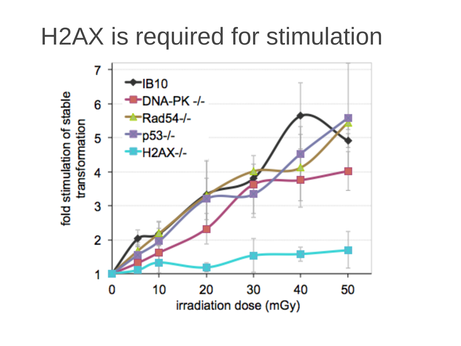### H2AX is required for stimulation

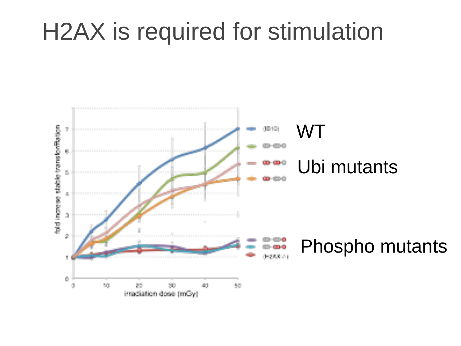### H2AX is required for stimulation

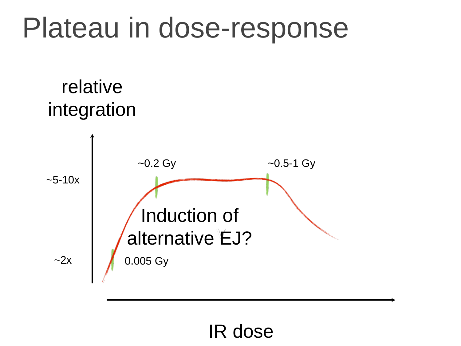# Plateau in dose-response





#### IR dose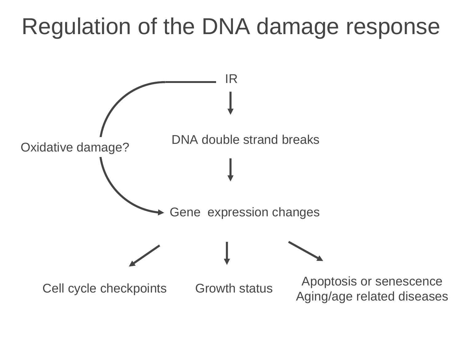### Regulation of the DNA damage response

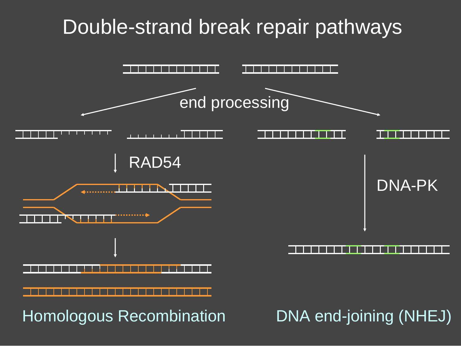#### Double-strand break repair pathways

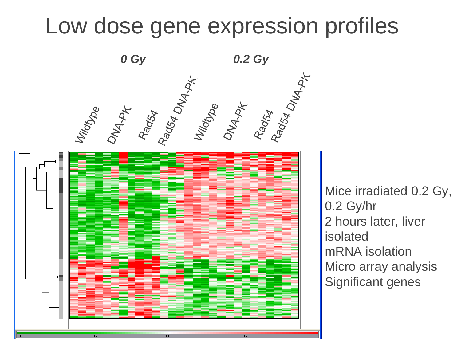#### Low dose gene expression profiles



Mice irradiated 0.2 Gy, 0.2 Gy/hr 2 hours later, liver isolated mRNA isolation Micro array analysis Significant genes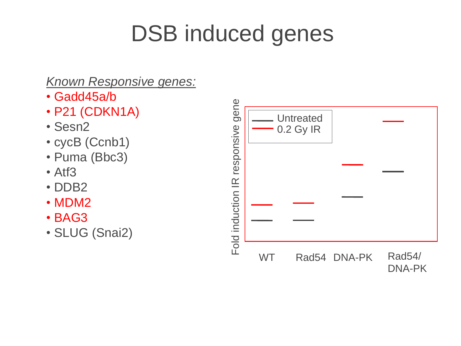## DSB induced genes

#### *Known Responsive genes:*

- Gadd45a/b
- P21 (CDKN1A)
- Sesn2
- cycB (Ccnb1)
- Puma (Bbc3)
- Atf3
- DDB2
- MDM2
- BAG3
- SLUG (Snai2)

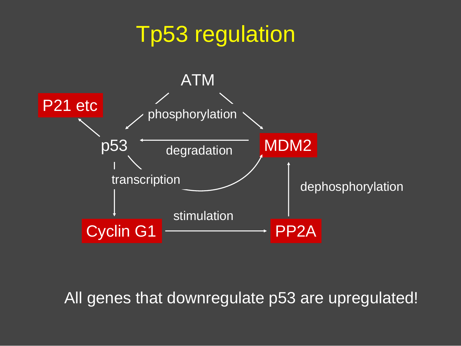#### Tp53 regulation



WT Radio Constitution of the Constitution of the Constitution of the Constitution of the Constitution of the C<br>The Constitution of the Constitution of the Constitution of the Constitution of the Constitution of the Consti All genes that downregulate p53 are upregulated!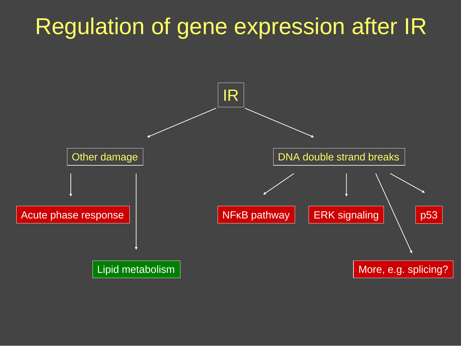### Regulation of gene expression after IR

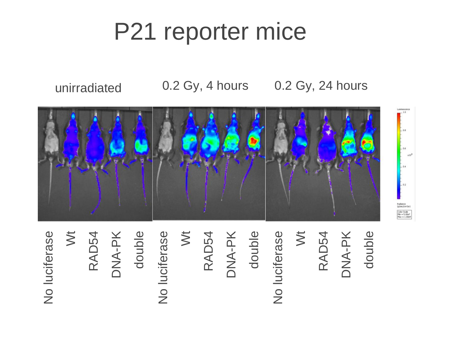## P21 reporter mice

unirradiated 0.2 Gy, 4 hours 0.2 Gy, 24 hours



No luciferase Wt RAD54 DNA -PK double No luciferase Wt RAD54 DNA -PK double No luciferase Wt RAD54 DNA NA-PK<br>double